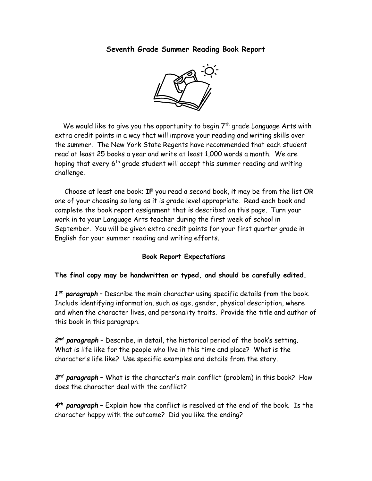## Seventh Grade Summer Reading Book Report



We would like to give you the opportunity to begin  $7<sup>th</sup>$  grade Language Arts with extra credit points in a way that will improve your reading and writing skills over the summer. The New York State Regents have recommended that each student read at least 25 books a year and write at least 1,000 words a month. We are hoping that every  $6<sup>th</sup>$  grade student will accept this summer reading and writing challenge.

 Choose at least one book; IF you read a second book, it may be from the list OR one of your choosing so long as it is grade level appropriate. Read each book and complete the book report assignment that is described on this page. Turn your work in to your Language Arts teacher during the first week of school in September. You will be given extra credit points for your first quarter grade in English for your summer reading and writing efforts.

## Book Report Expectations

## The final copy may be handwritten or typed, and should be carefully edited.

1<sup>st</sup> paragraph - Describe the main character using specific details from the book. Include identifying information, such as age, gender, physical description, where and when the character lives, and personality traits. Provide the title and author of this book in this paragraph.

2<sup>nd</sup> paragraph - Describe, in detail, the historical period of the book's setting. What is life like for the people who live in this time and place? What is the character's life like? Use specific examples and details from the story.

3<sup>rd</sup> paragraph - What is the character's main conflict (problem) in this book? How does the character deal with the conflict?

4<sup>th</sup> paragraph - Explain how the conflict is resolved at the end of the book. Is the character happy with the outcome? Did you like the ending?